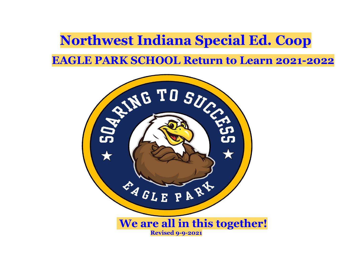**Northwest Indiana Special Ed. Coop EAGLE PARK SCHOOL Return to Learn 2021-2022** 

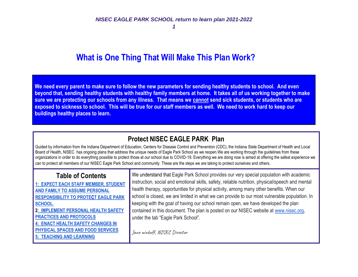## **What is One Thing That Will Make This Plan Work?**

**We need every parent to make sure to follow the new parameters for sending healthy students to school. And even beyond that, sending healthy students with healthy family members at home. It takes all of us working together to make sure we are protecting our schools from any illness. That means we cannot send sick students, or students who are exposed to sickness to school. This will be true for our staff members as well. We need to work hard to keep our buildings healthy places to learn..**

## **Protect NISEC EAGLE PARK Plan**

Guided by information from the Indiana Department of Education, Centers for Disease Control and Prevention (CDC), the Indiana State Department of Health and Local Board of Health, NISEC has ongoing plans that address the unique needs of Eagle Park School as we reopen.We are working through the guidelines from these organizations in order to do everything possible to protect those at our school due to COVID-19. Everything we are doing now is aimed at offering the safest experience we can to protect all members of our NISEC Eagle Park School and community. These are the steps we are taking to protect ourselves and others.

#### **Table of Contents**

**1: EXPECT EACH STAFF MEMBER, STUDENT AND FAMILY TO ASSUME PERSONAL RESPONSIBILITY TO PROTECT EAGLE PARK SCHOOL. [2: IMPLEMENT PERSONAL HEALTH SAFETY](#page-6-0)  [PRACTICES AND PROTOCOLS](#page-6-0) [4: ENACT HEALTH SAFETY CHANGES IN](#page-13-0)  [PHYSICAL SPACES AND FOOD SERVICES](#page-13-0) [5: TEACHING AND LEARNING](#page-16-0)**

We understand that Eagle Park School provides our very special population with academic instruction, social and emotional skills, safety, reliable nutrition, physical/speech and mental health therapy, opportunities for physical activity, among many other benefits. When our school is closed, we are limited in what we can provide to our most vulnerable population. In keeping with the goal of having our school remain open, we have developed the plan contained in this document. The plan is posted on our NISEC website at [www.nisec.org,](http://www.nisec.org/) under the tab "Eagle Park School".

Jane winkoff, NISEC Director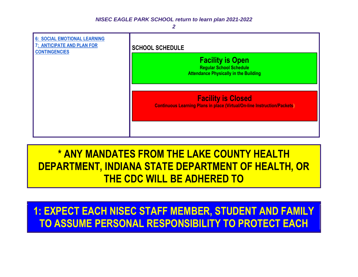

**\* ANY MANDATES FROM THE LAKE COUNTY HEALTH DEPARTMENT, INDIANA STATE DEPARTMENT OF HEALTH, OR THE CDC WILL BE ADHERED TO** 

**1: EXPECT EACH NISEC STAFF MEMBER, STUDENT AND FAMILY TO ASSUME PERSONAL RESPONSIBILITY TO PROTECT EACH**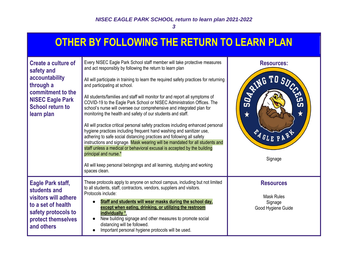## **OTHER BY FOLLOWING THE RETURN TO LEARN PLAN**

| <b>Create a culture of</b><br>safety and<br>accountability<br>through a<br>commitment to the<br><b>NISEC Eagle Park</b><br><b>School return to</b><br>learn plan | Every NISEC Eagle Park School staff member will take protective measures<br>and act responsibly by following the return to learn plan<br>All will participate in training to learn the required safety practices for returning<br>and participating at school.<br>All students/families and staff will monitor for and report all symptoms of<br>COVID-19 to the Eagle Park School or NISEC Administration Offices. The<br>school's nurse will oversee our comprehensive and integrated plan for<br>monitoring the health and safety of our students and staff.<br>All will practice critical personal safety practices including enhanced personal<br>hygiene practices including frequent hand washing and sanitizer use,<br>adhering to safe social distancing practices and following all safety<br>instructions and signage. Mask wearing will be mandated for all students and<br>staff unless a medical or behavioral excusal is accepted by the building<br>principal and nurse.*<br>All will keep personal belongings and all learning, studying and working<br>spaces clean. | <b>Resources:</b><br>RING TO SUCCE<br><b>SO4</b><br>Čŋ<br>$\bigstar$<br>$\bigstar$<br>EAGLE PARK<br>Signage |
|------------------------------------------------------------------------------------------------------------------------------------------------------------------|----------------------------------------------------------------------------------------------------------------------------------------------------------------------------------------------------------------------------------------------------------------------------------------------------------------------------------------------------------------------------------------------------------------------------------------------------------------------------------------------------------------------------------------------------------------------------------------------------------------------------------------------------------------------------------------------------------------------------------------------------------------------------------------------------------------------------------------------------------------------------------------------------------------------------------------------------------------------------------------------------------------------------------------------------------------------------------------|-------------------------------------------------------------------------------------------------------------|
| Eagle Park staff,<br>students and<br>visitors will adhere<br>to a set of health<br>safety protocols to<br>protect themselves<br>and others                       | These protocols apply to anyone on school campus, including but not limited<br>to all students, staff, contractors, vendors, suppliers and visitors.<br>Protocols include:<br>Staff and students will wear masks during the school day,<br>except when eating, drinking, or utilizing the restroom<br>individually *.<br>New building signage and other measures to promote social<br>distancing will be followed.<br>Important personal hygiene protocols will be used.                                                                                                                                                                                                                                                                                                                                                                                                                                                                                                                                                                                                               | <b>Resources</b><br><b>Mask Rules</b><br>Signage<br>Good Hygiene Guide                                      |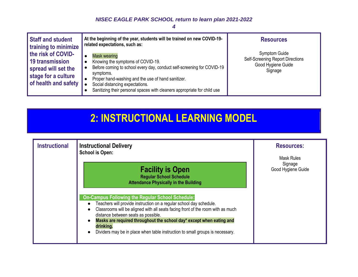*4*

| Staff and student<br><b>training to minimize</b>                                                            | At the beginning of the year, students will be trained on new COVID-19-<br>related expectations, such as:                                                                                                                                                                                                            | <b>Resources</b>                                                                                 |
|-------------------------------------------------------------------------------------------------------------|----------------------------------------------------------------------------------------------------------------------------------------------------------------------------------------------------------------------------------------------------------------------------------------------------------------------|--------------------------------------------------------------------------------------------------|
| the risk of COVID-<br>19 transmission<br>spread will set the<br>stage for a culture<br>of health and safety | <b>Mask wearing</b><br>Knowing the symptoms of COVID-19.<br>Before coming to school every day, conduct self-screening for COVID-19<br>symptoms.<br>Proper hand-washing and the use of hand sanitizer.<br>Social distancing expectations.<br>Sanitizing their personal spaces with cleaners appropriate for child use | <b>Symptom Guide</b><br><b>Self-Screening Report Directions</b><br>Good Hygiene Guide<br>Signage |

# **2: INSTRUCTIONAL LEARNING MODEL**

| <b>Instructional</b> | <b>Instructional Delivery</b><br><b>School is Open:</b>                                                                                                                                                                                                                                                                                                                                                                                                                                                                                                  | <b>Resources:</b><br>Mask Rules |
|----------------------|----------------------------------------------------------------------------------------------------------------------------------------------------------------------------------------------------------------------------------------------------------------------------------------------------------------------------------------------------------------------------------------------------------------------------------------------------------------------------------------------------------------------------------------------------------|---------------------------------|
|                      | <b>Facility is Open</b><br><b>Regular School Schedule</b><br><b>Attendance Physically in the Building</b><br><b>On-Campus Following the Regular School Schedule:</b><br>Teachers will provide instruction on a regular school day schedule.<br>Classrooms will be aligned with all seats facing front of the room with as much<br>distance between seats as possible.<br>Masks are required throughout the school day* except when eating and<br>$\bullet$<br>drinking.<br>Dividers may be in place when table instruction to small groups is necessary. | Signage<br>Good Hygiene Guide   |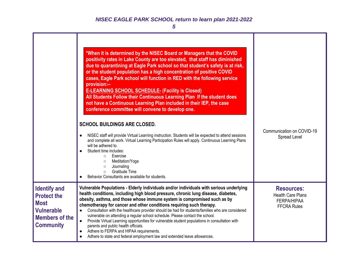|                                                                                                                            | *When it is determined by the NISEC Board or Managers that the COVID<br>positivity rates in Lake County are too elevated, that staff has diminished<br>due to quarantining at Eagle Park school so that student's safety is at risk,<br>or the student population has a high concentration of positive COVID<br>cases, Eagle Park school will function in RED with the following service<br>provision:--<br><b>E-LEARNING SCHOOL SCHEDULE- (Facility is Closed)</b><br>All Students Follow their Continuous Learning Plan If the student does<br>not have a Continuous Learning Plan included in their IEP, the case<br>conference committee will convene to develop one.<br><b>SCHOOL BUILDINGS ARE CLOSED.</b><br>NISEC staff will provide Virtual Learning instruction. Students will be expected to attend sessions<br>and complete all work. Virtual Learning Participation Rules will apply. Continuous Learning Plans<br>will be adhered to.<br>Student time includes:<br>Exercise<br>$\circ$<br>Meditation/Yoga<br>$\circ$<br>Journaling<br>$\circ$<br>Gratitude Time<br>$\Omega$<br>Behavior Consultants are available for students. | Communication on COVID-19<br>Spread Level                                                 |
|----------------------------------------------------------------------------------------------------------------------------|-----------------------------------------------------------------------------------------------------------------------------------------------------------------------------------------------------------------------------------------------------------------------------------------------------------------------------------------------------------------------------------------------------------------------------------------------------------------------------------------------------------------------------------------------------------------------------------------------------------------------------------------------------------------------------------------------------------------------------------------------------------------------------------------------------------------------------------------------------------------------------------------------------------------------------------------------------------------------------------------------------------------------------------------------------------------------------------------------------------------------------------------------|-------------------------------------------------------------------------------------------|
| <b>Identify and</b><br><b>Protect the</b><br><b>Most</b><br><b>Vulnerable</b><br><b>Members of the</b><br><b>Community</b> | Vulnerable Populations - Elderly individuals and/or individuals with serious underlying<br>health conditions, including high blood pressure, chronic lung disease, diabetes,<br>obesity, asthma, and those whose immune system is compromised such as by<br>chemotherapy for cancer and other conditions requiring such therapy.<br>Consultation with the healthcare provider should be had for students/families who are considered<br>$\bullet$<br>vulnerable on attending a regular school schedule. Please contact the school.<br>Provide Virtual Learning opportunities for vulnerable student populations in consultation with<br>$\bullet$<br>parents and public health officials.<br>Adhere to FERPA and HIPAA requirements.<br>Adhere to state and federal employment law and extended leave allowances.                                                                                                                                                                                                                                                                                                                             | <b>Resources:</b><br><b>Health Care Plans</b><br><b>FERPA/HIPAA</b><br><b>FFCRA Rules</b> |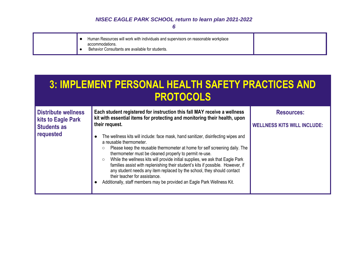| Human Resources will work with individuals and supervisors on reasonable workplace<br>accommodations.<br>Behavior Consultants are available for students. |  |
|-----------------------------------------------------------------------------------------------------------------------------------------------------------|--|
|-----------------------------------------------------------------------------------------------------------------------------------------------------------|--|

<span id="page-6-0"></span>

| <b>3: IMPLEMENT PERSONAL HEALTH SAFETY PRACTICES AND</b> |
|----------------------------------------------------------|
| <b>PROTOCOLS</b>                                         |

| <b>Distribute wellness</b><br>kits to Eagle Park<br><b>Students as</b> | Each student registered for instruction this fall MAY receive a wellness<br>kit with essential items for protecting and monitoring their health, upon<br>their request.                                                                                                                                                                                                                                                                                                                                                                                                                                                                     | <b>Resources:</b><br><b>WELLNESS KITS WILL INCLUDE:</b> |
|------------------------------------------------------------------------|---------------------------------------------------------------------------------------------------------------------------------------------------------------------------------------------------------------------------------------------------------------------------------------------------------------------------------------------------------------------------------------------------------------------------------------------------------------------------------------------------------------------------------------------------------------------------------------------------------------------------------------------|---------------------------------------------------------|
| requested                                                              | The wellness kits will include: face mask, hand sanitizer, disinfecting wipes and<br>$\bullet$<br>a reusable thermometer.<br>Please keep the reusable thermometer at home for self screening daily. The<br>O<br>thermometer must be cleaned properly to permit re-use.<br>While the wellness kits will provide initial supplies, we ask that Eagle Park<br>$\circ$<br>families assist with replenishing their student's kits if possible. However, if<br>any student needs any item replaced by the school, they should contact<br>their teacher for assistance.<br>Additionally, staff members may be provided an Eagle Park Wellness Kit. |                                                         |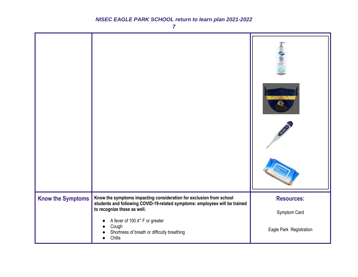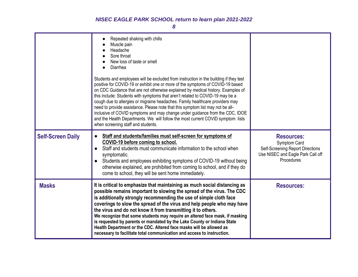|                          | Repeated shaking with chills<br>Muscle pain<br>Headache<br>Sore throat<br>New loss of taste or smell<br>Diarrhea<br>Students and employees will be excluded from instruction in the building if they test<br>positive for COVID-19 or exhibit one or more of the symptoms of COVID-19 based<br>on CDC Guidance that are not otherwise explained by medical history. Examples of<br>this include: Students with symptoms that aren't related to COVID-19 may be a<br>cough due to allergies or migraine headaches. Family healthcare providers may<br>need to provide assistance. Please note that this symptom list may not be all-<br>inclusive of COVID symptoms and may change under guidance from the CDC, IDOE<br>and the Health Departments. We will follow the most current COVID symptom lists<br>when screening staff and students. |                                                                                                                          |
|--------------------------|----------------------------------------------------------------------------------------------------------------------------------------------------------------------------------------------------------------------------------------------------------------------------------------------------------------------------------------------------------------------------------------------------------------------------------------------------------------------------------------------------------------------------------------------------------------------------------------------------------------------------------------------------------------------------------------------------------------------------------------------------------------------------------------------------------------------------------------------|--------------------------------------------------------------------------------------------------------------------------|
| <b>Self-Screen Daily</b> | Staff and students/families must self-screen for symptoms of<br>COVID-19 before coming to school.<br>Staff and students must communicate information to the school when<br>$\bullet$<br>symptomatic.<br>Students and employees exhibiting symptoms of COVID-19 without being<br>otherwise explained, are prohibited from coming to school, and if they do<br>come to school, they will be sent home immediately.                                                                                                                                                                                                                                                                                                                                                                                                                             | <b>Resources:</b><br>Symptom Card<br>Self-Screening Report Directions<br>Use NISEC and Eagle Park Call off<br>Procedures |
| <b>Masks</b>             | It is critical to emphasize that maintaining as much social distancing as<br>possible remains important to slowing the spread of the virus. The CDC<br>is additionally strongly recommending the use of simple cloth face<br>coverings to slow the spread of the virus and help people who may have<br>the virus and do not know it from transmitting it to others.<br>We recognize that some students may require an altered face mask, if masking<br>is requested by parents or mandated by the Lake County or Indiana State<br>Health Department or the CDC. Altered face masks will be allowed as<br>necessary to facilitate total communication and access to instruction.                                                                                                                                                              | <b>Resources:</b>                                                                                                        |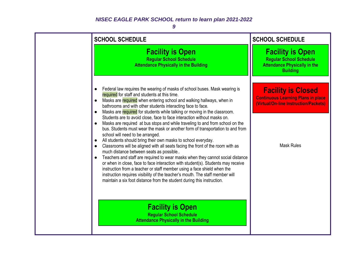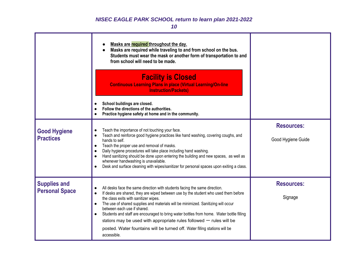|                       | Masks are required throughout the day.<br>Masks are required while traveling to and from school on the bus.<br>Students must wear the mask or another form of transportation to and<br>from school will need to be made.<br><b>Facility is Closed</b><br><b>Continuous Learning Plans in place (Virtual Learning/On-line</b><br><b>Instruction/Packets)</b>                       |                    |
|-----------------------|-----------------------------------------------------------------------------------------------------------------------------------------------------------------------------------------------------------------------------------------------------------------------------------------------------------------------------------------------------------------------------------|--------------------|
|                       | School buildings are closed.<br>Follow the directions of the authorities.<br>Practice hygiene safety at home and in the community.                                                                                                                                                                                                                                                |                    |
| <b>Good Hygiene</b>   | Teach the importance of not touching your face.                                                                                                                                                                                                                                                                                                                                   | <b>Resources:</b>  |
| <b>Practices</b>      | Teach and reinforce good hygiene practices like hand washing, covering coughs, and<br>hands to self.                                                                                                                                                                                                                                                                              | Good Hygiene Guide |
|                       | Teach the proper use and removal of masks.<br>$\bullet$<br>Daily hygiene procedures will take place including hand washing.<br>$\bullet$<br>Hand sanitizing should be done upon entering the building and new spaces, as well as<br>$\bullet$<br>whenever handwashing is unavailable.<br>Desk and surface cleaning with wipes/sanitizer for personal spaces upon exiting a class. |                    |
| <b>Supplies and</b>   | All desks face the same direction with students facing the same direction.                                                                                                                                                                                                                                                                                                        | <b>Resources:</b>  |
| <b>Personal Space</b> | If desks are shared, they are wiped between use by the student who used them before<br>the class exits with sanitizer wipes.<br>The use of shared supplies and materials will be minimized. Sanitizing will occur<br>$\bullet$<br>between each use if shared.<br>Students and staff are encouraged to bring water bottles from home. Water bottle filling<br>$\bullet$            | Signage            |
|                       | stations may be used with appropriate rules followed $-$ rules will be<br>posted. Water fountains will be turned off. Water filling stations will be                                                                                                                                                                                                                              |                    |
|                       | accessible.                                                                                                                                                                                                                                                                                                                                                                       |                    |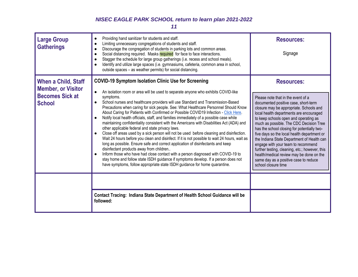| <b>Large Group</b><br><b>Gatherings</b>                                                            | Providing hand sanitizer for students and staff.<br>$\bullet$<br>Limiting unnecessary congregations of students and staff.<br>$\bullet$<br>Discourage the congregation of students in parking lots and common areas.<br>$\bullet$<br>Social distancing required. Masks required for face to face interactions.<br>$\bullet$<br>Stagger the schedule for large group gatherings (i.e. recess and school meals).<br>$\bullet$<br>Identify and utilize large spaces (i.e. gymnasiums, cafeteria, common area in school,<br>outside spaces - as weather permits) for social distancing.                                                                                                                                                                                                                                                                                                                                                                                                                                                                                                                                                                                                                                                                                                                                | <b>Resources:</b><br>Signage                                                                                                                                                                                                                                                                                                                                                                                                                                                                                                                                                                                              |
|----------------------------------------------------------------------------------------------------|--------------------------------------------------------------------------------------------------------------------------------------------------------------------------------------------------------------------------------------------------------------------------------------------------------------------------------------------------------------------------------------------------------------------------------------------------------------------------------------------------------------------------------------------------------------------------------------------------------------------------------------------------------------------------------------------------------------------------------------------------------------------------------------------------------------------------------------------------------------------------------------------------------------------------------------------------------------------------------------------------------------------------------------------------------------------------------------------------------------------------------------------------------------------------------------------------------------------------------------------------------------------------------------------------------------------|---------------------------------------------------------------------------------------------------------------------------------------------------------------------------------------------------------------------------------------------------------------------------------------------------------------------------------------------------------------------------------------------------------------------------------------------------------------------------------------------------------------------------------------------------------------------------------------------------------------------------|
| <b>When a Child, Staff</b><br><b>Member, or Visitor</b><br><b>Becomes Sick at</b><br><b>School</b> | <b>COVID-19 Symptom Isolation Clinic Use for Screening</b><br>An isolation room or area will be used to separate anyone who exhibits COVID-like<br>$\bullet$<br>symptoms.<br>School nurses and healthcare providers will use Standard and Transmission-Based<br>Precautions when caring for sick people. See: What Healthcare Personnel Should Know<br>About Caring for Patients with Confirmed or Possible COVID19 Infection - Click Here.<br>Notify local health officials, staff, and families immediately of a possible case while<br>$\bullet$<br>maintaining confidentiality consistent with the Americans with Disabilities Act (ADA) and<br>other applicable federal and state privacy laws.<br>Close off areas used by a sick person will not be used before cleaning and disinfection.<br>$\bullet$<br>Wait 24 hours before you clean and disinfect. If it is not possible to wait 24 hours, wait as<br>long as possible. Ensure safe and correct application of disinfectants and keep<br>disinfectant products away from children<br>Inform those who have had close contact with a person diagnosed with COVID-19 to<br>$\bullet$<br>stay home and follow state ISDH guidance if symptoms develop. If a person does not<br>have symptoms, follow appropriate state ISDH guidance for home quarantine. | <b>Resources:</b><br>Please note that in the event of a<br>documented positive case, short-term<br>closure may be appropriate. Schools and<br>local health departments are encouraged<br>to keep schools open and operating as<br>much as possible. The CDC Decision Tree<br>has the school closing for potentially two-<br>five days so the local health department or<br>the Indiana State Department of Health can<br>engage with your team to recommend<br>further testing, cleaning, etc.; however, this<br>health/medical review may be done on the<br>same day as a positive case to reduce<br>school closure time |
|                                                                                                    | Contact Tracing: Indiana State Department of Health School Guidance will be<br>followed:                                                                                                                                                                                                                                                                                                                                                                                                                                                                                                                                                                                                                                                                                                                                                                                                                                                                                                                                                                                                                                                                                                                                                                                                                           |                                                                                                                                                                                                                                                                                                                                                                                                                                                                                                                                                                                                                           |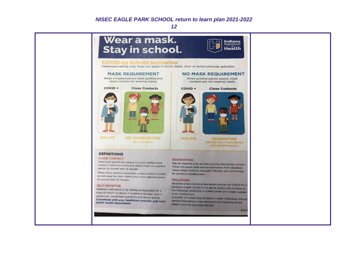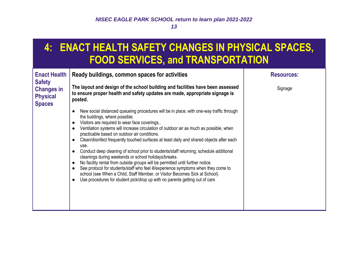## <span id="page-13-0"></span>**4: ENACT HEALTH SAFETY CHANGES IN PHYSICAL SPACES, FOOD SERVICES, and TRANSPORTATION**

| <b>Enact Health</b>                                                    | Ready buildings, common spaces for activities                                                                                                                                                                                                                                                                                                                                                                                                                                                                                                                                                                                                                                                                                                                                                                                                                                                                                                                                                              | <b>Resources:</b> |
|------------------------------------------------------------------------|------------------------------------------------------------------------------------------------------------------------------------------------------------------------------------------------------------------------------------------------------------------------------------------------------------------------------------------------------------------------------------------------------------------------------------------------------------------------------------------------------------------------------------------------------------------------------------------------------------------------------------------------------------------------------------------------------------------------------------------------------------------------------------------------------------------------------------------------------------------------------------------------------------------------------------------------------------------------------------------------------------|-------------------|
| <b>Safety</b><br><b>Changes in</b><br><b>Physical</b><br><b>Spaces</b> | The layout and design of the school building and facilities have been assessed<br>to ensure proper health and safety updates are made, appropriate signage is<br>posted.                                                                                                                                                                                                                                                                                                                                                                                                                                                                                                                                                                                                                                                                                                                                                                                                                                   | Signage           |
|                                                                        | New social distanced queueing procedures will be in place, with one-way traffic through<br>$\bullet$<br>the buildings, where possible.<br>Visitors are required to wear face coverings<br>Ventilation systems will increase circulation of outdoor air as much as possible, when<br>$\bullet$<br>practicable based on outdoor air conditions.<br>Clean/disinfect frequently touched surfaces at least daily and shared objects after each<br>$\bullet$<br>use.<br>Conduct deep cleaning of school prior to students/staff returning; schedule additional<br>$\bullet$<br>cleanings during weekends or school holidays/breaks.<br>No facility rental from outside groups will be permitted until further notice.<br>$\bullet$<br>See protocol for students/staff who feel ill/experience symptoms when they come to<br>$\bullet$<br>school (see When a Child, Staff Member, or Visitor Becomes Sick at School).<br>Use procedures for student pick/drop up with no parents getting out of cars<br>$\bullet$ |                   |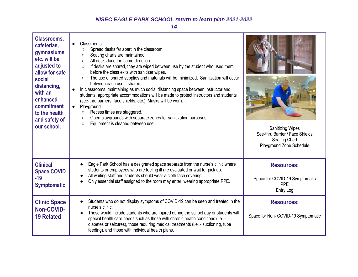| <b>Classrooms,</b><br>cafeterias,<br>gymnasiums,<br>etc. will be<br>adjusted to<br>allow for safe<br>social<br>distancing,<br>with an<br>enhanced<br>commitment<br>to the health<br>and safety of<br>our school. | Classrooms<br>$\bullet$<br>Spread desks far apart in the classroom.<br>$\circ$<br>Seating charts are maintained.<br>$\circ$<br>All desks face the same direction.<br>$\bigcirc$<br>If desks are shared, they are wiped between use by the student who used them<br>$\circ$<br>before the class exits with sanitizer wipes.<br>The use of shared supplies and materials will be minimized. Sanitization will occur<br>$\circ$<br>between each use if shared.<br>In classrooms, maintaining as much social distancing space between instructor and<br>students, appropriate accommodations will be made to protect instructors and students<br>(see-thru barriers, face shields, etc.). Masks will be worn.<br>Playground<br>$\bullet$<br>Recess times are staggered.<br>$\circ$<br>Open playgrounds with separate zones for sanitization purposes.<br>$\circ$<br>Equipment is cleaned between use.<br>$\circ$ | <b>Sanitizing Wipes</b><br>See-thru Barrier / Face Shields<br>Seating Chart<br>Playground Zone Schedule |
|------------------------------------------------------------------------------------------------------------------------------------------------------------------------------------------------------------------|--------------------------------------------------------------------------------------------------------------------------------------------------------------------------------------------------------------------------------------------------------------------------------------------------------------------------------------------------------------------------------------------------------------------------------------------------------------------------------------------------------------------------------------------------------------------------------------------------------------------------------------------------------------------------------------------------------------------------------------------------------------------------------------------------------------------------------------------------------------------------------------------------------------|---------------------------------------------------------------------------------------------------------|
| <b>Clinical</b><br><b>Space COVID</b><br>$-19$<br><b>Symptomatic</b>                                                                                                                                             | Eagle Park School has a designated space separate from the nurse's clinic where<br>$\bullet$<br>students or employees who are feeling ill are evaluated or wait for pick up.<br>All waiting staff and students should wear a cloth face covering.<br>Only essential staff assigned to the room may enter wearing appropriate PPE.                                                                                                                                                                                                                                                                                                                                                                                                                                                                                                                                                                            | <b>Resources:</b><br>Space for COVID-19 Symptomatic<br><b>PPE</b><br><b>Entry Log</b>                   |
| <b>Clinic Space</b><br>Non-COVID-<br><b>19 Related</b>                                                                                                                                                           | Students who do not display symptoms of COVID-19 can be seen and treated in the<br>$\bullet$<br>nurse's clinic.<br>These would include students who are injured during the school day or students with<br>$\bullet$<br>special health care needs such as those with chronic health conditions (i.e. -<br>diabetes or seizures), those requiring medical treatments (i.e. - suctioning, tube<br>feeding), and those with individual health plans.                                                                                                                                                                                                                                                                                                                                                                                                                                                             | <b>Resources:</b><br>Space for Non- COVID-19 Symptomatic                                                |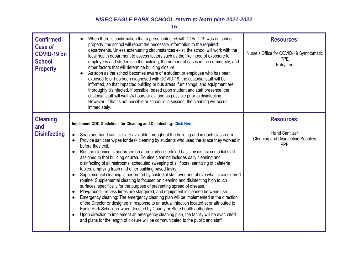| <b>Confirmed</b><br>Case of<br><b>COVID-19 on</b><br><b>School</b><br><b>Property</b> | When there is confirmation that a person infected with COVID-19 was on school<br>$\bullet$<br>property, the school will report the necessary information to the required<br>departments. Unless extenuating circumstances exist, the school will work with the<br>local health department to assess factors such as the likelihood of exposure to<br>employees and students in the building, the number of cases in the community, and<br>other factors that will determine building closure.<br>As soon as the school becomes aware of a student or employee who has been<br>$\bullet$<br>exposed to or has been diagnosed with COVID-19, the custodial staff will be<br>informed, so that impacted building or bus areas, furnishings, and equipment are<br>thoroughly disinfected. If possible, based upon student and staff presence, the<br>custodial staff will wait 24 hours or as long as possible prior to disinfecting.<br>However, if that is not possible or school is in session, the cleaning will occur<br>immediately.                                                                                                                                                                                                                                                                                                                                                                                                                           | <b>Resources:</b><br>Nurse's Office for COVID-19 Symptomatic<br><b>PPE</b><br>Entry Log               |
|---------------------------------------------------------------------------------------|------------------------------------------------------------------------------------------------------------------------------------------------------------------------------------------------------------------------------------------------------------------------------------------------------------------------------------------------------------------------------------------------------------------------------------------------------------------------------------------------------------------------------------------------------------------------------------------------------------------------------------------------------------------------------------------------------------------------------------------------------------------------------------------------------------------------------------------------------------------------------------------------------------------------------------------------------------------------------------------------------------------------------------------------------------------------------------------------------------------------------------------------------------------------------------------------------------------------------------------------------------------------------------------------------------------------------------------------------------------------------------------------------------------------------------------------------------------|-------------------------------------------------------------------------------------------------------|
| <b>Cleaning</b><br>and<br><b>Disinfecting</b>                                         | Implement CDC Guidelines for Cleaning and Disinfecting: Click Here<br>Soap and hand sanitizer are available throughout the building and in each classroom<br>$\bullet$<br>Provide sanitizer wipes for desk cleaning by students who used the space they worked in<br>$\bullet$<br>before they exit.<br>Routine cleaning is performed on a regularly scheduled basis by district custodial staff<br>assigned to that building or area. Routine cleaning includes daily cleaning and<br>disinfecting of all restrooms, scheduled sweeping of all floors, sanitizing of cafeteria<br>tables, emptying trash and other building based tasks.<br>Supplemental cleaning is performed by custodial staff over and above what is considered<br>$\bullet$<br>routine. Supplemental cleaning is focused on cleaning and disinfecting high touch<br>surfaces, specifically for the purpose of preventing spread of disease.<br>Playground—recess times are staggered, and equipment is cleaned between use.<br>Emergency cleaning: The emergency cleaning plan will be implemented at the direction<br>of the Director or designee in response to an actual infection located at or attributed to<br>Eagle Park School, or when directed by County or State health authorities.<br>Upon direction to implement an emergency cleaning plan, the facility will be evacuated<br>$\bullet$<br>and plans for the length of closure will be communicated to the public and staff. | <b>Resources:</b><br><b>Hand Sanitizer</b><br><b>Cleaning and Disinfecting Supplies</b><br><b>PPE</b> |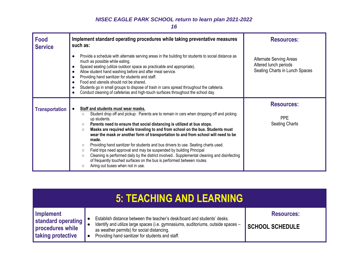| <b>Food</b><br><b>Service</b> | Implement standard operating procedures while taking preventative measures<br>such as:                                                                                                                                                                                                                                                                                                                                                                                                                                                                                                                                                                                                                                                                                                                                                                                             | <b>Resources:</b>                                                                         |
|-------------------------------|------------------------------------------------------------------------------------------------------------------------------------------------------------------------------------------------------------------------------------------------------------------------------------------------------------------------------------------------------------------------------------------------------------------------------------------------------------------------------------------------------------------------------------------------------------------------------------------------------------------------------------------------------------------------------------------------------------------------------------------------------------------------------------------------------------------------------------------------------------------------------------|-------------------------------------------------------------------------------------------|
|                               | Provide a schedule with alternate serving areas in the building for students to social distance as<br>$\bullet$<br>much as possible while eating.<br>Spaced seating (utilize outdoor space as practicable and appropriate).<br>$\bullet$<br>Allow student hand washing before and after meal service.<br>$\bullet$<br>Providing hand sanitizer for students and staff.<br>$\bullet$<br>Food and utensils should not be shared.<br>$\bullet$<br>Students go in small groups to dispose of trash in cans spread throughout the cafeteria.<br>$\bullet$<br>Conduct cleaning of cafeterias and high-touch surfaces throughout the school day.<br>$\bullet$                                                                                                                                                                                                                             | <b>Alternate Serving Areas</b><br>Altered lunch periods<br>Seating Charts in Lunch Spaces |
| <b>Transportation</b>         | Staff and students must wear masks.<br>$\bullet$<br>Student drop off and pickup: Parents are to remain in cars when dropping off and picking<br>$\circ$<br>up students.<br>Parents need to ensure that social distancing is utilized at bus stops.<br>$\circ$<br>Masks are required while traveling to and from school on the bus. Students must<br>$\circ$<br>wear the mask or another form of transportation to and from school will need to be<br>made.<br>Providing hand sanitizer for students and bus drivers to use. Seating charts used.<br>$\circ$<br>Field trips need approval and may be suspended by building Principal<br>$\circ$<br>Cleaning is performed daily by the district involved Supplemental cleaning and disinfecting<br>$\circ$<br>of frequently touched surfaces on the bus is performed between routes.<br>Airing out buses when not in use.<br>$\circ$ | <b>Resources:</b><br><b>PPE</b><br><b>Seating Charts</b>                                  |

<span id="page-16-0"></span>

| <b>5: TEACHING AND LEARNING</b>                                                   |                                                                                                                                                                                                                                                                 |                                             |  |  |  |
|-----------------------------------------------------------------------------------|-----------------------------------------------------------------------------------------------------------------------------------------------------------------------------------------------------------------------------------------------------------------|---------------------------------------------|--|--|--|
| Implement<br>standard operating<br>procedures while<br><b>I</b> taking protective | Establish distance between the teacher's desk/board and students' desks.<br>Identify and utilize large spaces (i.e. gymnasiums, auditoriums, outside spaces -<br>as weather permits) for social distancing.<br>Providing hand sanitizer for students and staff. | <b>Resources:</b><br><b>SCHOOL SCHEDULE</b> |  |  |  |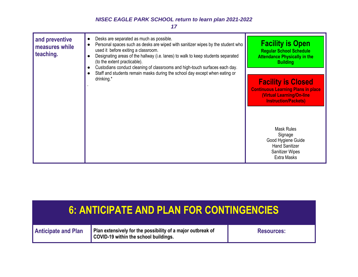*17*



## <span id="page-17-0"></span>**6: ANTICIPATE AND PLAN FOR CONTINGENCIES**

| <b>Anticipate and Plan</b> | Plan extensively for the possibility of a major outbreak of<br>COVID-19 within the school buildings. | <b>Resources:</b> |
|----------------------------|------------------------------------------------------------------------------------------------------|-------------------|
|                            |                                                                                                      |                   |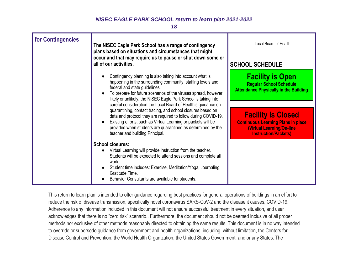*18*

| for Contingencies | The NISEC Eagle Park School has a range of contingency<br>plans based on situations and circumstances that might<br>occur and that may require us to pause or shut down some or<br>all of our activities.                                                                                                                                                                                                                                                                                                                                                                                                                                                         | Local Board of Health<br><b>SCHOOL SCHEDULE</b>                                                                                    |
|-------------------|-------------------------------------------------------------------------------------------------------------------------------------------------------------------------------------------------------------------------------------------------------------------------------------------------------------------------------------------------------------------------------------------------------------------------------------------------------------------------------------------------------------------------------------------------------------------------------------------------------------------------------------------------------------------|------------------------------------------------------------------------------------------------------------------------------------|
|                   | Contingency planning is also taking into account what is<br>happening in the surrounding community, staffing levels and<br>federal and state guidelines.<br>To prepare for future scenarios of the viruses spread, however<br>likely or unlikely, the NISEC Eagle Park School is taking into<br>careful consideration the Local Board of Health's guidance on<br>quarantining, contact tracing, and school closures based on<br>data and protocol they are required to follow during COVID-19.<br>Existing efforts, such as Virtual Learning or packets will be<br>provided when students are quarantined as determined by the<br>teacher and building Principal. | <b>Facility is Open</b><br><b>Regular School Schedule</b><br><b>Attendance Physically in the Building</b>                          |
|                   |                                                                                                                                                                                                                                                                                                                                                                                                                                                                                                                                                                                                                                                                   | <b>Facility is Closed</b><br><b>Continuous Learning Plans in place</b><br>(Virtual Learning/On-line<br><b>Instruction/Packets)</b> |
|                   | <b>School closures:</b><br>Virtual Learning will provide instruction from the teacher.<br>Students will be expected to attend sessions and complete all<br>work.<br>Student time includes: Exercise, Meditation/Yoga, Journaling,<br>Gratitude Time.<br>Behavior Consultants are available for students.                                                                                                                                                                                                                                                                                                                                                          |                                                                                                                                    |

This return to learn plan is intended to offer guidance regarding best practices for general operations of buildings in an effort to reduce the risk of disease transmission, specifically novel coronavirus SARS-CoV-2 and the disease it causes, COVID-19. Adherence to any information included in this document will not ensure successful treatment in every situation, and user acknowledges that there is no "zero risk" scenario.. Furthermore, the document should not be deemed inclusive of all proper methods nor exclusive of other methods reasonably directed to obtaining the same results. This document is in no way intended to override or supersede guidance from government and health organizations, including, without limitation, the Centers for Disease Control and Prevention, the World Health Organization, the United States Government, and or any States. The